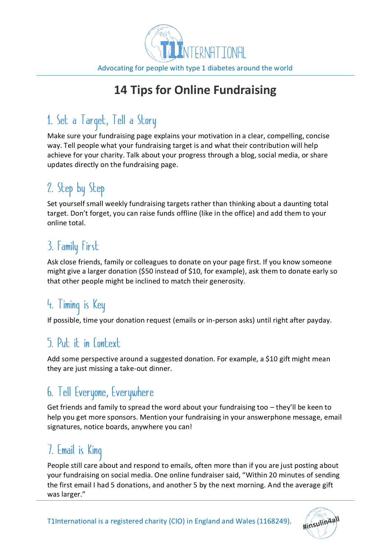

## **14 Tips for Online Fundraising**

# 1. Set a Target, Tell a Story

Make sure your fundraising page explains your motivation in a clear, compelling, concise way. Tell people what your fundraising target is and what their contribution will help achieve for your charity. Talk about your progress through a blog, social media, or share updates directly on the fundraising page.

# 2. Step by Step

Set yourself small weekly fundraising targets rather than thinking about a daunting total target. Don't forget, you can raise funds offline (like in the office) and add them to your online total.

# 3. Family First

Ask close friends, family or colleagues to donate on your page first. If you know someone might give a larger donation (\$50 instead of \$10, for example), ask them to donate early so that other people might be inclined to match their generosity.

# 4. Timing is Key

If possible, time your donation request (emails or in-person asks) until right after payday.

## 5 Put it in Context

Add some perspective around a suggested donation. For example, a \$10 gift might mean they are just missing a take-out dinner.

## 6. Tell Everyone, Everywhere

Get friends and family to spread the word about your fundraising too – they'll be keen to help you get more sponsors. Mention your fundraising in your answerphone message, email signatures, notice boards, anywhere you can!

## 7. Email is King

People still care about and respond to emails, often more than if you are just posting about your fundraising on social media. One online fundraiser said, "Within 20 minutes of sending the first email I had 5 donations, and another 5 by the next morning. And the average gift was larger."